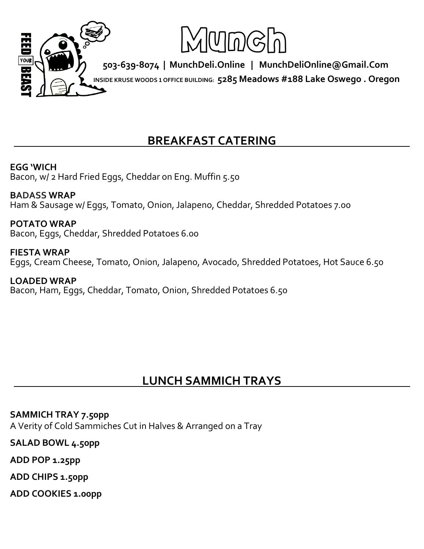

## **. BREAKFAST CATERING .**

### **EGG 'WICH**

Bacon, w/ 2 Hard Fried Eggs, Cheddar on Eng. Muffin 5.50

#### **BADASS WRAP**

Ham & Sausage w/ Eggs, Tomato, Onion, Jalapeno, Cheddar, Shredded Potatoes 7.00

#### **POTATO WRAP**

Bacon, Eggs, Cheddar, Shredded Potatoes 6.00

#### **FIESTA WRAP**  Eggs, Cream Cheese, Tomato, Onion, Jalapeno, Avocado, Shredded Potatoes, Hot Sauce 6.50

**LOADED WRAP**  Bacon, Ham, Eggs, Cheddar, Tomato, Onion, Shredded Potatoes 6.50

## **. LUNCH SAMMICH TRAYS .**

### **SAMMICH TRAY 7.50pp**

A Verity of Cold Sammiches Cut in Halves & Arranged on a Tray

**SALAD BOWL 4.50pp**

**ADD POP 1.25pp**

**ADD CHIPS 1.50pp**

**ADD COOKIES 1.00pp**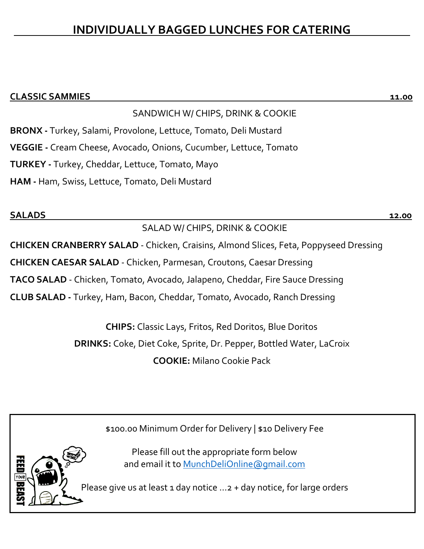## **. INDIVIDUALLY BAGGED LUNCHES FOR CATERING .**

### **CLASSIC SAMMIES 11.00**

### SANDWICH W/ CHIPS, DRINK & COOKIE

**BRONX -** Turkey, Salami, Provolone, Lettuce, Tomato, Deli Mustard

**VEGGIE -** Cream Cheese, Avocado, Onions, Cucumber, Lettuce, Tomato

**TURKEY -** Turkey, Cheddar, Lettuce, Tomato, Mayo

**HAM -** Ham, Swiss, Lettuce, Tomato, Deli Mustard

#### **SALADS 12.00**

SALAD W/ CHIPS, DRINK & COOKIE **CHICKEN CRANBERRY SALAD** - Chicken, Craisins, Almond Slices, Feta, Poppyseed Dressing **CHICKEN CAESAR SALAD** - Chicken, Parmesan, Croutons, Caesar Dressing **TACO SALAD** - Chicken, Tomato, Avocado, Jalapeno, Cheddar, Fire Sauce Dressing **CLUB SALAD -** Turkey, Ham, Bacon, Cheddar, Tomato, Avocado, Ranch Dressing

> **CHIPS:** Classic Lays, Fritos, Red Doritos, Blue Doritos **DRINKS:** Coke, Diet Coke, Sprite, Dr. Pepper, Bottled Water, LaCroix **COOKIE:** Milano Cookie Pack

> > \$100.00 Minimum Order for Delivery | \$10 Delivery Fee

Please fill out the appropriate form below and email it to [MunchDeliOnline@gmail.com](mailto:MunchDeliOnline@gmail.com)

Please give us at least 1 day notice  $\dots$  2 + day notice, for large orders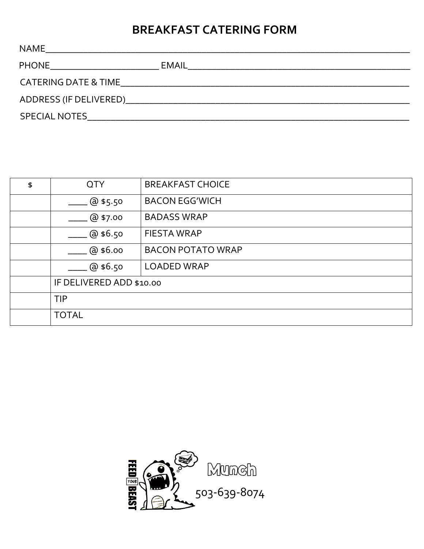# **BREAKFAST CATERING FORM**

| <b>NAME</b>                                                      |       |
|------------------------------------------------------------------|-------|
| <b>PHONE</b><br><u> 1980 - Jan Barbara Barbara, prima popula</u> | EMAIL |
| <b>CATERING DATE &amp; TIME</b>                                  |       |
|                                                                  |       |
| SPECIAL NOTES AND THE SERVICE OF THE SPECIAL NOTES               |       |

| \$<br><b>QTY</b>         | <b>BREAKFAST CHOICE</b>  |  |
|--------------------------|--------------------------|--|
| $@$ \$5.50               | <b>BACON EGG'WICH</b>    |  |
| @ \$7.00                 | <b>BADASS WRAP</b>       |  |
| @\$6.50                  | <b>FIESTA WRAP</b>       |  |
| @\$6.00                  | <b>BACON POTATO WRAP</b> |  |
| @ \$6.50                 | <b>LOADED WRAP</b>       |  |
| IF DELIVERED ADD \$10.00 |                          |  |
| <b>TIP</b>               |                          |  |
| <b>TOTAL</b>             |                          |  |

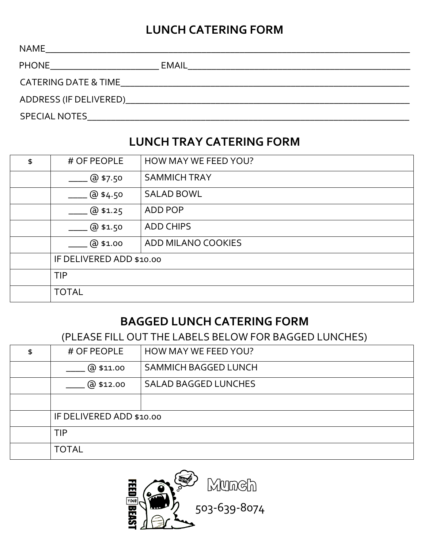## **LUNCH CATERING FORM**

| NAME                          |                                                                                                                      |
|-------------------------------|----------------------------------------------------------------------------------------------------------------------|
| PHONE _______________________ |                                                                                                                      |
| CATERING DATE & TIME          | <u> 2000 - 2000 - 2000 - 2000 - 2000 - 2000 - 2000 - 2000 - 2000 - 2000 - 2000 - 2000 - 2000 - 2000 - 2000 - 200</u> |
|                               |                                                                                                                      |
| SPECIAL NOTES                 |                                                                                                                      |

### **LUNCH TRAY CATERING FORM**

| \$<br># OF PEOPLE        | HOW MAY WE FEED YOU? |  |  |
|--------------------------|----------------------|--|--|
| @57.50                   | <b>SAMMICH TRAY</b>  |  |  |
| @4.50                    | <b>SALAD BOWL</b>    |  |  |
| @31.25                   | ADD POP              |  |  |
| @31.50                   | <b>ADD CHIPS</b>     |  |  |
| @\$1.00                  | ADD MILANO COOKIES   |  |  |
| IF DELIVERED ADD \$10.00 |                      |  |  |
| TIP                      |                      |  |  |
| <b>TOTAL</b>             |                      |  |  |

### **BAGGED LUNCH CATERING FORM**

(PLEASE FILL OUT THE LABELS BELOW FOR BAGGED LUNCHES)

| \$<br># OF PEOPLE        | <b>HOW MAY WE FEED YOU?</b> |  |  |  |
|--------------------------|-----------------------------|--|--|--|
| @\$11.00                 | <b>SAMMICH BAGGED LUNCH</b> |  |  |  |
| @\$12.00                 | <b>SALAD BAGGED LUNCHES</b> |  |  |  |
|                          |                             |  |  |  |
| IF DELIVERED ADD \$10.00 |                             |  |  |  |
| <b>TIP</b>               |                             |  |  |  |
| <b>TOTAL</b>             |                             |  |  |  |